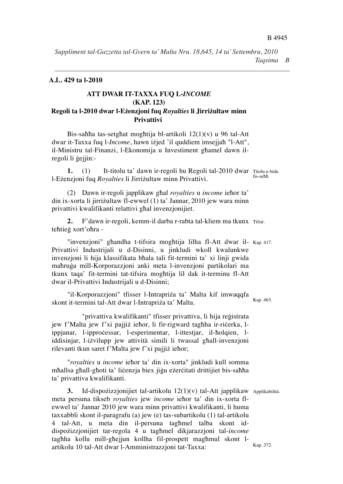B 4945  *Taqsima B* **A.L. 429 ta l-2010** *Suppliment tal-Gazzetta tal-Gvern ta' Malta Nru. 18,645, 14 ta' Settembru, 2010*

*\_\_\_\_\_\_\_\_\_\_\_\_\_\_\_\_\_\_\_\_\_\_\_\_\_\_\_\_\_\_\_\_\_\_\_\_\_\_\_\_\_\_\_\_\_\_\_\_\_\_\_\_\_\_\_\_\_\_\_\_\_\_\_\_\_\_\_\_*

## **A.L. 429 ta l-2010**

#### **ATT DWAR IT-TAXXA FUQ L-***INCOME* **Privattivi (KAP. 123) Regoli ta l-2010 dwar l-Eenzjoni fuq** *Royalties* **li Jirriultaw minn**  Bis-saa tas-setgat mogtija bl-artikoli 12(1)(v) u 96 tal-Att **Privattivi**  dwar it-Taxxa fuq later in the control of the international properties in the second temperature of the second  $\mathbf{P}\mathbf{r}$  is a fixed fixed of the second temperature of the second temperature of the second temperature of

**ATT DWAR IT-TAXXA FUQ L-***INCOME*

Bis-sahha tas-setghat moghtija bl-artikoli  $12(1)(v)$  u 96 tal-Att dwar it-Taxxa fuq l-*Income*, hawn izjed 'il quddiem imsejjah "l-Att", il-Ministru tal-Finanzi, l-Ekonomija u Investiment ghamel dawn il-<br>dilittativi regoli li gejjin:-

 $\frac{1}{\sqrt{2}}$ 

1. (1) It-titolu ta' dawn ir-regoli hu Regoli tal-2010 dwar Titolu u bidu fis-se 1. (1) It thold the dawn in regon ha Regon tan 2010 dwar<br>l-Ezenzjoni fuq *Royalties* li Jirrizultaw minn Privattivi. privateljom rud *Royannes* in simizunaw minii relativ

(2) Dawn ir-regoli japplikaw ghal *royalties* u *income* iehor ta' din ix-xorta li jirrizultaw fl-ewwel (1) ta' Jannar, 2010 jew wara minn privattivi kwalifikanti relattivi ghal invenzionijiet.

**2.** F'dawn ir-regoli, kemm-il darba r-rabta tal-kliem ma tkunx Tifsir. tehtieg xort'ohra - $\blacksquare$  in the mogtificant model is more interesting to the motor in the motor in the motor in the motor in the motor in the motor in the motor in the motor in the motor in the motor in the motor in the motor in the motor  $\mathcal{L}_{\bullet}$  Privati Industrijali u de-Disini u de-Disini u de-Disini u javanja kwalungi wakati kwalungi wakati wa kwalu

"invenzjoni" ghandha t-tifsira moghtija lilha fl-Att dwar il- Kap. 417. Privattivi Industrijali u d-Disinni, u jinkludi wkoll kwalunkwe invenzjoni li hija klassifikata bħala tali fit-termini ta' xi linji gwida mahruga mill-Korporazzjoni anki meta l-invenzjoni partikolari ma tkunx taqa' fit-termini tat-tifsira moghtija lil dak it-terminu fl-Att dwar il-Privattivi Industrijali u d-Disinni;

Kap. 463. "il-Korporazzjoni" tfisser l-Intrapriża ta' Malta kif imwaqqfa n Rosporazzjom ensser i muapriza ta "Malta Ki" intwaqqia<br>skont it-termini tal-Att dwar l-Intrapriza ta' Malta.  $\frac{1}{2}$ ipperimentar, la-ittestiar, l-esperantar, l-esperimentar, l-esperantar, l-esperimentar, l-esperantar, l-esperantar, l-esperantar, l-esperantar, l-esperantar, l-esperantar, l-esperantar, l-esperantar, l-esperantar

"privattiva kwalifikanti" tfisser privattiva, li hija reģistrata jew f'Malta jew f'xi pajjiż iehor, li fir-rigward taghha ir-ricerka, lippjanar, l-ipprocessar, l-esperimentar, l-ittestjar, il-holqien, liddisinjar, l-ivilupp jew attività simili li twassal gall-invenzjoni "*royalties* u *income* ieor ta' din ix-xorta" jinkludi kull somma rdensinjar, i izvilapp jew allivitatismin in twassar gilan invenzjoni<br>rilevanti tkun saret f'Malta jew f'xi pajjiż iehor; thevality than safet T Man

"*royalties* u *income* iehor ta' din ix-xorta" jinkludi kull somma mhallsa ghall-ghoti ta'licenzja biex jigu ezercitati drittijiet bis-sahha<br>. ta' privattiva kwalifikanti.

3. Id-dispozizzjonijiet tal-artikolu 12(1)(v) tal-Att japplikaw Applikabilità. meta persuna tikseb *royalties* jew *income* iehor ta' din ix-xorta flewwel ta' Jannar 2010 jew wara minn privattivi kwalifikanti, li huma taxxabbli skont il-paragrafu (a) jew (e) tas-subartikolu (1) tal-artikolu 4 tal-Att, u meta din il-persuna taghmel talba skont iddispozizzjonijiet tar-regola 4 u taghmel dikjarazzjoni tal-*income* taghha kollu mill-ghejjun kollha fil-prospett maghmul skont lartikolu 10 tal-Att dwar l-Amministrazzjoni tat-Taxxa:

Kap. 372.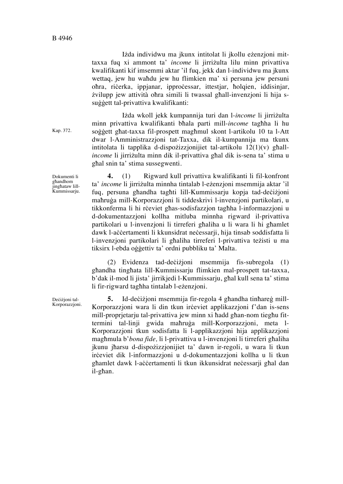Izda individwu ma jkunx intitolat li jkollu ezenzjoni mittaxxa fuq xi ammont ta' *income* li jirrizulta lilu minn privattiva kwalifikanti kif imsemmi aktar 'il fuq, jekk dan l-individwu ma jkunx wettaq, jew hu wahdu jew hu flimkien ma' xi persuna jew persuni ohra, ricerka, ippjanar, ipprocessar, ittestjar, holqien, iddisinjar, zvilupp jew attività ohra simili li twassal ghall-invenzioni li hija ssuggett tal-privattiva kwalifikanti:

Izda wkoll jekk kumpannija turi dan l-income li jirrizulta

minn privattiva kwalifikanti bala parti mill-*income* tagha li hu soggett ghat-taxxa fil-prospett maghmul skont l-artikolu 10 ta l-Att dwar l-Amministrazzjoni tat-Taxxa, dik il-kumpannija ma tkunx intitolata li tapplika d-dispozizzionijiet tal-artikolu  $12(1)(v)$  ghall*income* li jirrizulta minn dik il-privattiva ghal dik is-sena ta' stima u

ghal snin ta' stima sussegwenti.

Dokumenti li għandhom jingħataw lill-Kummissarju.

Kap. 372.

**4.** (1) Rigward kull privattiva kwalifikanti li fil-konfront ta' *income* li jirrizulta minnha tintalab l-ezenzjoni msemmija aktar 'il fuq, persuna ghandha taghti lill-Kummissarju kopja tad-decizioni mahruga mill-Korporazzjoni li tiddeskrivi l-invenzjoni partikolari, u tikkonferma li hi rceviet ghas-sodisfazzjon taghha l-informazzjoni u d-dokumentazzjoni kollha mitluba minnha rigward il-privattiva partikolari u l-invenzjoni li tirreferi ghaliha u li wara li hi ghamlet dawk l-accertamenti li kkunsidrat necessarji, hija tinsab soddisfatta li l-invenzjoni partikolari li ghaliha tirreferi l-privattiva težisti u ma tiksirx l-ebda oggettiv ta' ordni pubbliku ta' Malta.

(2) Evidenza tad-decizioni msemmija fis-subregola (1) ghandha tinghata lill-Kummissarju flimkien mal-prospett tat-taxxa, b'dak il-mod li jista' jirrikjedi l-Kummissarju, ghal kull sena ta' stima li fir-rigward taghha tintalab l-ezenzjoni.

**5.** Id-decizioni msemmija fir-regola 4 ghandha tinhareg mill-Korporazzjoni wara li din tkun ireviet applikazzjoni f'dan is-sens mill-proprjetarju tal-privattiva jew minn xi hadd ghan-nom tieghu fittermini tal-linji gwida mahruga mill-Korporazzjoni, meta l-Korporazzjoni tkun sodisfatta li l-applikazzjoni hija applikazzjoni maghmula b'*bona fide*, li l-privattiva u l-invenzioni li tirreferi ghaliha jkunu jharsu d-dispozizzjonijiet ta' dawn ir-regoli, u wara li tkun irceviet dik l-informazzjoni u d-dokumentazzjoni kollha u li tkun ghamlet dawk l-accertamenti li tkun ikkunsidrat necessarji ghal dan il-ghan.

Decizjoni tal-Korporazzjoni.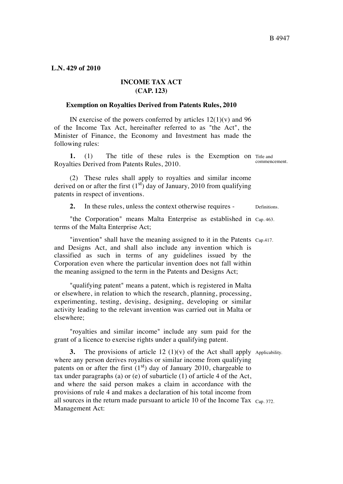### **L.N. 429 of 2010**

# **INCOME TAX ACT (CAP. 123)**

#### **Exemption on Royalties Derived from Patents Rules, 2010**

IN exercise of the powers conferred by articles  $12(1)(v)$  and 96 of the Income Tax Act, hereinafter referred to as "the Act", the Minister of Finance, the Economy and Investment has made the following rules:

**1.** (1) The title of these rules is the Exemption on Title and commencement. Royalties Derived from Patents Rules, 2010.

(2) These rules shall apply to royalties and similar income derived on or after the first  $(1<sup>st</sup>)$  day of January, 2010 from qualifying patents in respect of inventions.

**2.** In these rules, unless the context otherwise requires - Definitions.

"the Corporation" means Malta Enterprise as established in Cap. 463. terms of the Malta Enterprise Act;

"invention" shall have the meaning assigned to it in the Patents Cap.417. and Designs Act, and shall also include any invention which is classified as such in terms of any guidelines issued by the Corporation even where the particular invention does not fall within the meaning assigned to the term in the Patents and Designs Act;

"qualifying patent" means a patent, which is registered in Malta or elsewhere, in relation to which the research, planning, processing, experimenting, testing, devising, designing, developing or similar activity leading to the relevant invention was carried out in Malta or elsewhere;

"royalties and similar income" include any sum paid for the grant of a licence to exercise rights under a qualifying patent.

**3.** The provisions of article  $12 \left(1\right)\left(v\right)$  of the Act shall apply Applicability. all sources in the return made pursuant to article 10 of the Income Tax  $_{\text{Cap. 372}}$ . where any person derives royalties or similar income from qualifying patents on or after the first  $(1<sup>st</sup>)$  day of January 2010, chargeable to tax under paragraphs (a) or (e) of subarticle (1) of article 4 of the Act, and where the said person makes a claim in accordance with the provisions of rule 4 and makes a declaration of his total income from Management Act: